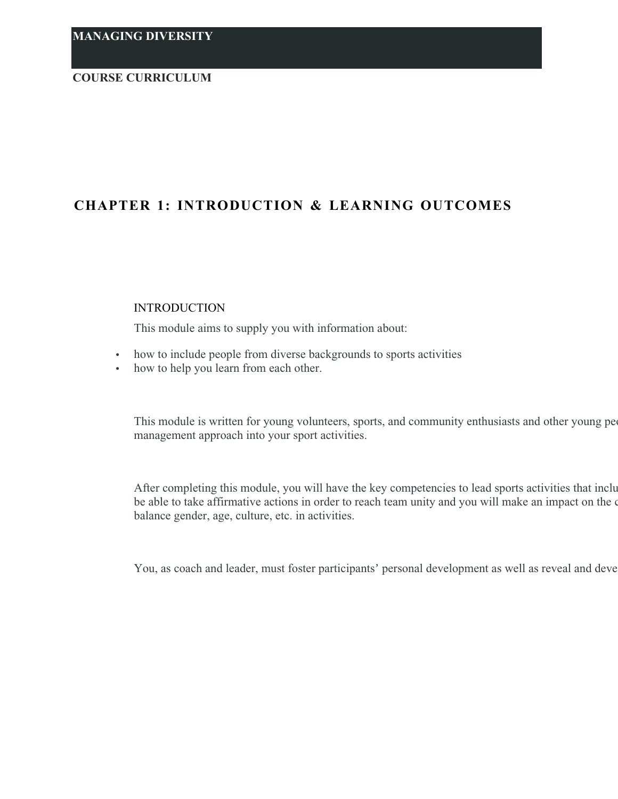### **COURSE CURRICULUM**

# **CHAPTER 1: INTRODUCTION & LEARNING OUTCOMES**

#### INTRODUCTION

This module aims to supply you with information about:

- how to include people from diverse backgrounds to sports activities
- how to help you learn from each other.

This module is written for young volunteers, sports, and community enthusiasts and other young people that  $\alpha$ management approach into your sport activities.

After completing this module, you will have the key competencies to lead sports activities that inclu be able to take affirmative actions in order to reach team unity and you will make an impact on the o balance gender, age, culture, etc. in activities.

You, as coach and leader, must foster participants' personal development as well as reveal and deve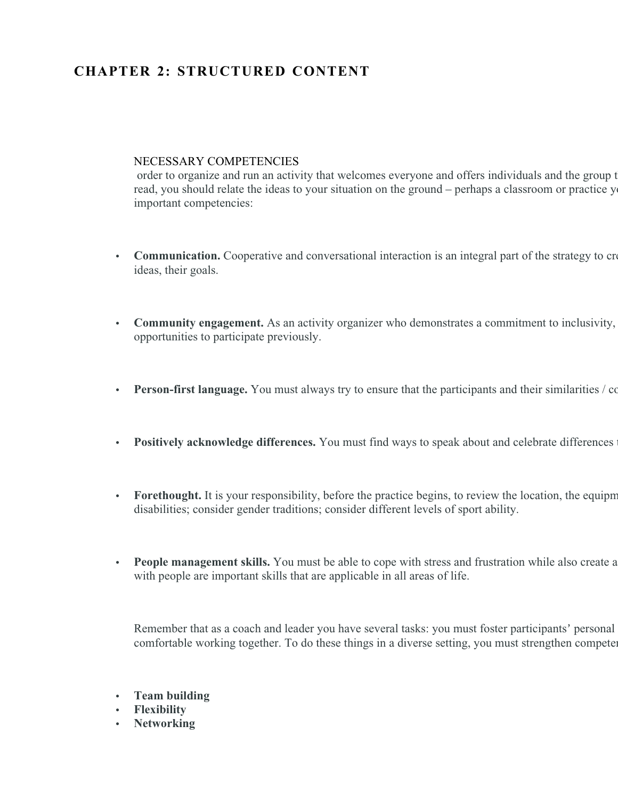# **CHAPTER 2: STRUCTURED CONTENT**

### NECESSARY COMPETENCIES

order to organize and run an activity that welcomes everyone and offers individuals and the group to the space to them. In this section, you can read about some of them. As you can read about some of them. As you can read read, you should relate the ideas to your situation on the ground – perhaps a classroom or practice y important competencies:

- Communication. Cooperative and conversational interaction is an integral part of the strategy to create ideas, their goals.
- **Community engagement.** As an activity organizer who demonstrates a commitment to inclusivity, opportunities to participate previously.
- **Person-first language.** You must always try to ensure that the participants and their similarities / commonly central and part of the spontal and part of the small and their similarities.
- **Positively acknowledge differences.** You must find ways to speak about and celebrate differences
- Forethought. It is your responsibility, before the practice begins, to review the location, the equipm disabilities; consider gender traditions; consider different levels of sport ability.
- **People management skills.** You must be able to cope with stress and frustration while also create a with people are important skills that are applicable in all areas of life.

Remember that as a coach and leader you have several tasks: you must foster participants' personal comfortable working together. To do these things in a diverse setting, you must strengthen competency

- **Team building**
- **Flexibility**
- **Networking**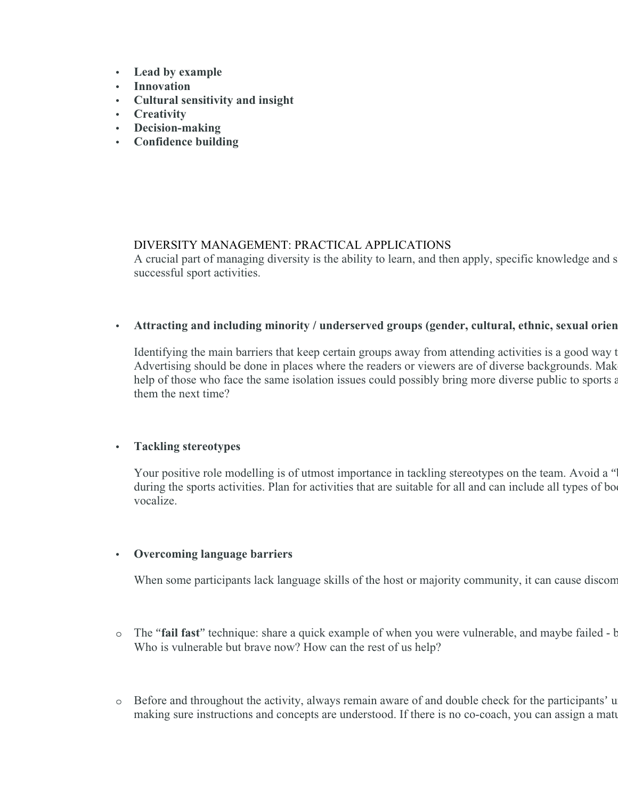- **Lead by example**
- **Innovation**
- **Cultural sensitivity and insight**
- **Creativity**
- **Decision-making**
- **Confidence building**

### DIVERSITY MANAGEMENT: PRACTICAL APPLICATIONS

A crucial part of managing diversity is the ability to learn, and then apply, specific knowledge and s successful sport activities.

### Attracting and including minority / underserved groups (gender, cultural, ethnic, sexual orien

Identifying the main barriers that keep certain groups away from attending activities is a good way t Advertising should be done in places where the readers or viewers are of diverse backgrounds. Mak help of those who face the same isolation issues could possibly bring more diverse public to sports a them the next time?

### **Tackling stereotypes**

Your positive role modelling is of utmost importance in tackling stereotypes on the team. Avoid a " during the sports activities. Plan for activities that are suitable for all and can include all types of bo vocalize.

# **Overcoming language barriers**

When some participants lack language skills of the host or majority community, it can cause discom

- o The "fail fast" technique: share a quick example of when you were vulnerable, and maybe failed b Who is vulnerable but brave now? How can the rest of us help?
- $\circ$  Before and throughout the activity, always remain aware of and double check for the participants' u making sure instructions and concepts are understood. If there is no co-coach, you can assign a mature participant to be a mature participant to someone with language challenges.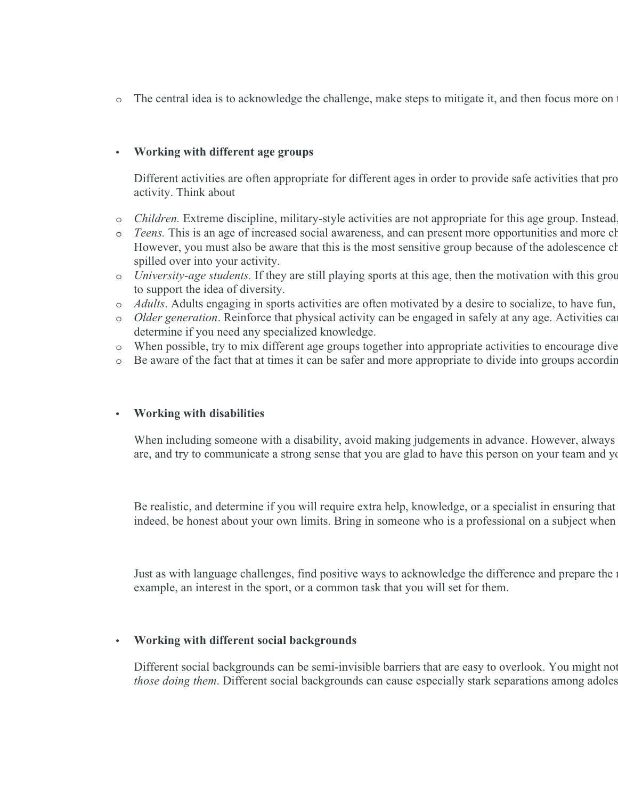o The central idea is to acknowledge the challenge, make steps to mitigate it, and then focus more on

### **Working with different age groups**

Different activities are often appropriate for different ages in order to provide safe activities that promote physical and emotional well-being. Because  $\mu$ activity. Think about

- o *Children*. Extreme discipline, military-style activities are not appropriate for this age group. Instead
- o *Teens*. This is an age of increased social awareness, and can present more opportunities and more ch However, you must also be aware that this is the most sensitive group because of the adolescence charallenges the most sensitive group because of the adolescence of social groups in  $\mathbb{R}^n$ . spilled over into your activity.
- o *University-age students*. If they are still playing sports at this age, then the motivation with this grou to support the idea of diversity.
- o Adults. Adults engaging in sports activities are often motivated by a desire to socialize, to have fun,
- o Older generation. Reinforce that physical activity can be engaged in safely at any age. Activities ca determine if you need any specialized knowledge.
- o When possible, try to mix different age groups together into appropriate activities to encourage dive
- o Be aware of the fact that at times it can be safer and more appropriate to divide into groups according

### **Working with disabilities**

When including someone with a disability, avoid making judgements in advance. However, always are, and try to communicate a strong sense that you are glad to have this person on your team and you

Be realistic, and determine if you will require extra help, knowledge, or a specialist in ensuring that indeed, be honest about your own limits. Bring in someone who is a professional on a subject when

Just as with language challenges, find positive ways to acknowledge the difference and prepare the  $\alpha$ example, an interest in the sport, or a common task that you will set for them.

# **Working with different social backgrounds**

Different social backgrounds can be semi-invisible barriers that are easy to overlook. You might not *those doing them*. Different social backgrounds can cause especially stark separations among adoles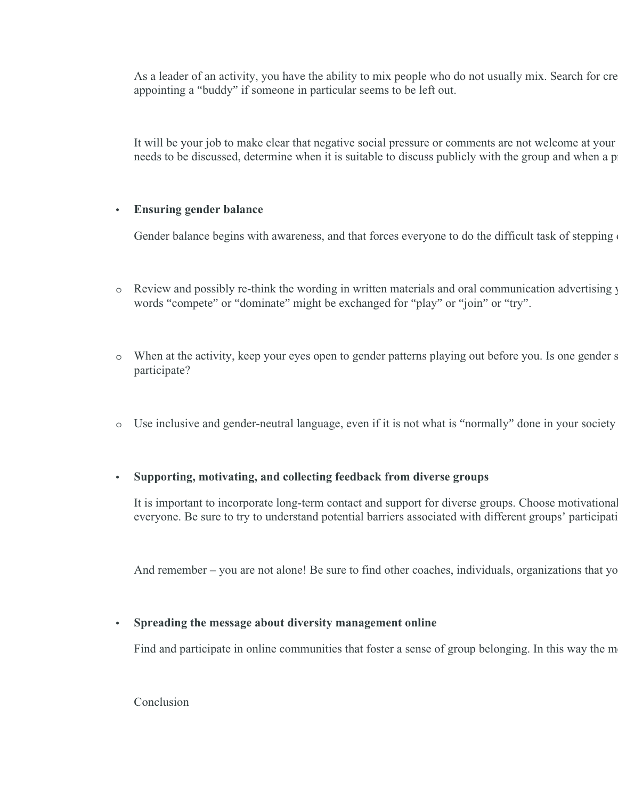As a leader of an activity, you have the ability to mix people who do not usually mix. Search for cre appointing a "buddy" if someone in particular seems to be left out.

It will be your job to make clear that negative social pressure or comments are not welcome at your needs to be discussed, determine when it is suitable to discuss publicly with the group and when a p

### **Ensuring gender balance**

Gender balance begins with awareness, and that forces everyone to do the difficult task of stepping

- o Review and possibly re-think the wording in written materials and oral communication advertising your activity. General might distort the balance of male participants. For example, the use of the use of the use of the us words "compete" or "dominate" might be exchanged for "play" or "join" or "try".
- o When at the activity, keep your eyes open to gender patterns playing out before you. Is one gender s participate?
- $\circ$  Use inclusive and gender-neutral language, even if it is not what is "normally" done in your society

### **Supporting, motivating, and collecting feedback from diverse groups**

It is important to incorporate long-term contact and support for diverse groups. Choose motivational everyone. Be sure to try to understand potential barriers associated with different groups' participation

And remember – you are not alone! Be sure to find other coaches, individuals, organizations that yo

### **Spreading the message about diversity management online**

Find and participate in online communities that foster a sense of group belonging. In this way the m

Conclusion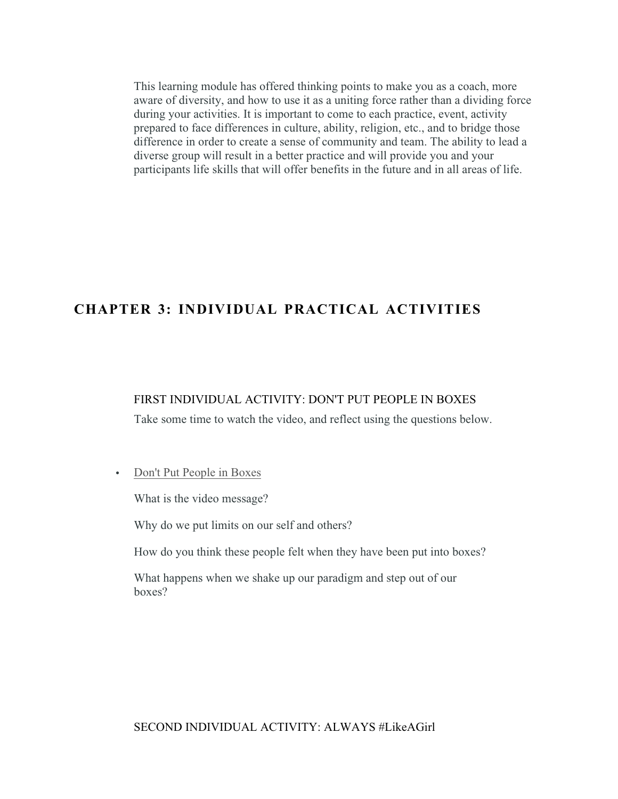This learning module has offered thinking points to make you as a coach, more aware of diversity, and how to use it as a uniting force rather than a dividing force during your activities. It is important to come to each practice, event, activity prepared to face differences in culture, ability, religion, etc., and to bridge those difference in order to create a sense of community and team. The ability to lead a diverse group will result in a better practice and will provide you and your participants life skills that will offer benefits in the future and in all areas of life.

# **CHAPTER 3: INDIVIDUAL PRACTICAL ACTIVITIES**

### FIRST INDIVIDUAL ACTIVITY: DON'T PUT PEOPLE IN BOXES

Take some time to watch the video, and reflect using the questions below.

#### • [Don't Put People in Boxes](https://www.youtube.com/watch?v=zRwt25M5nGw)

What is the video message?

Why do we put limits on our self and others?

How do you think these people felt when they have been put into boxes?

What happens when we shake up our paradigm and step out of our boxes?

### SECOND INDIVIDUAL ACTIVITY: ALWAYS #LikeAGirl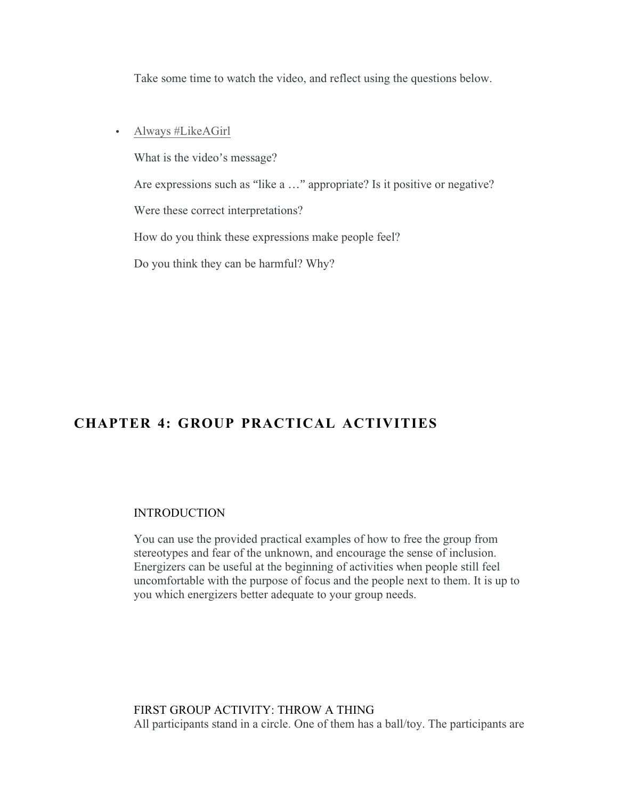Take some time to watch the video, and reflect using the questions below.

[Always #LikeAGirl](https://www.youtube.com/watch?v=XjJQBjWYDTs)

What is the video's message?

Are expressions such as "like a …" appropriate? Is it positive or negative?

Were these correct interpretations?

How do you think these expressions make people feel?

Do you think they can be harmful? Why?

# **CHAPTER 4: GROUP PRACTICAL ACTIVITIES**

### INTRODUCTION

You can use the provided practical examples of how to free the group from stereotypes and fear of the unknown, and encourage the sense of inclusion. Energizers can be useful at the beginning of activities when people still feel uncomfortable with the purpose of focus and the people next to them. It is up to you which energizers better adequate to your group needs.

FIRST GROUP ACTIVITY: THROW A THING All participants stand in a circle. One of them has a ball/toy. The participants are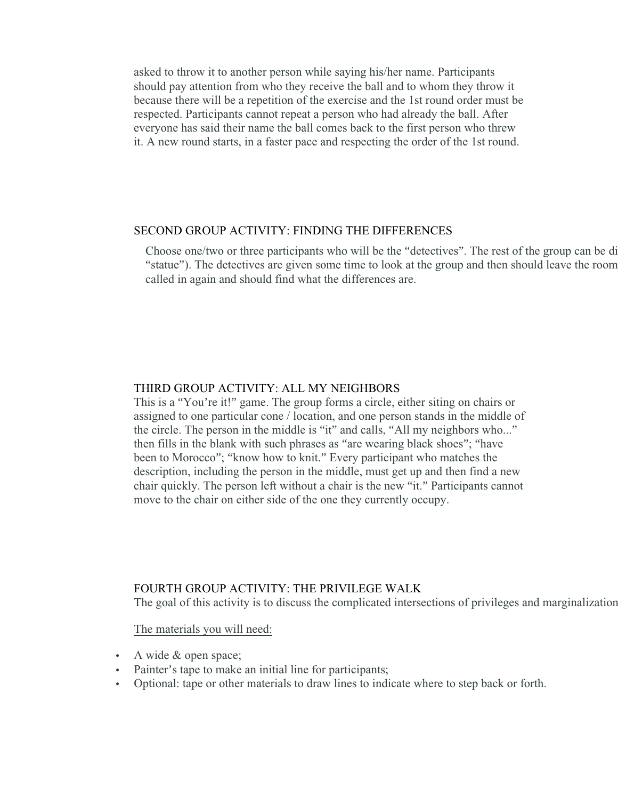asked to throw it to another person while saying his/her name. Participants should pay attention from who they receive the ball and to whom they throw it because there will be a repetition of the exercise and the 1st round order must be respected. Participants cannot repeat a person who had already the ball. After everyone has said their name the ball comes back to the first person who threw it. A new round starts, in a faster pace and respecting the order of the 1st round.

#### SECOND GROUP ACTIVITY: FINDING THE DIFFERENCES

Choose one/two or three participants who will be the "detectives". The rest of the group can be divided in smaller groups in a line (or form a line (or form a line or form a line or form a line (or form a line or form a li "statue"). The detectives are given some time to look at the group and then should leave the room. called in again and should find what the differences are.

### THIRD GROUP ACTIVITY: ALL MY NEIGHBORS

This is a "You're it!" game. The group forms a circle, either siting on chairs or assigned to one particular cone / location, and one person stands in the middle of the circle. The person in the middle is "it" and calls, "All my neighbors who..." then fills in the blank with such phrases as "are wearing black shoes"; "have been to Morocco"; "know how to knit." Every participant who matches the description, including the person in the middle, must get up and then find a new chair quickly. The person left without a chair is the new "it." Participants cannot move to the chair on either side of the one they currently occupy.

### FOURTH GROUP ACTIVITY: THE PRIVILEGE WALK

The goal of this activity is to discuss the complicated intersections of privileges and marginalization

The materials you will need:

- A wide & open space;
- Painter's tape to make an initial line for participants;
- Optional: tape or other materials to draw lines to indicate where to step back or forth.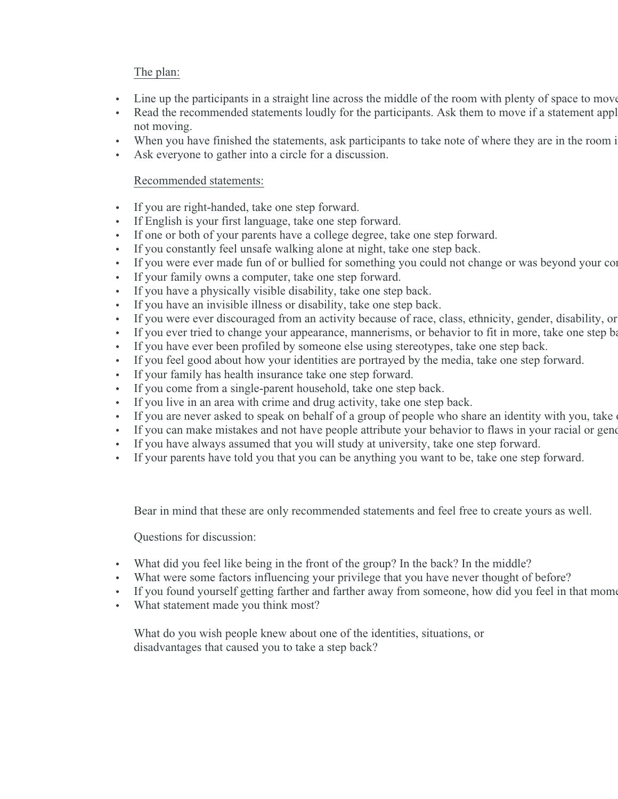# The plan:

- Iine up the participants in a straight line across the middle of the room with plenty of space to move
- Read the recommended statements loudly for the participants. Ask them to move if a statement appl not moving.
- When you have finished the statements, ask participants to take note of where they are in the room i
- Ask everyone to gather into a circle for a discussion.

### Recommended statements:

- If you are right-handed, take one step forward.
- If English is your first language, take one step forward.
- If one or both of your parents have a college degree, take one step forward.
- If you constantly feel unsafe walking alone at night, take one step back.
- If you were ever made fun of or bullied for something you could not change or was beyond your control, take on
- If your family owns a computer, take one step forward.
- If you have a physically visible disability, take one step back.
- If you have an invisible illness or disability, take one step back.
- If you were ever discouraged from an activity because of race, class, ethnicity, gender, disability, or
- If you ever tried to change your appearance, mannerisms, or behavior to fit in more, take one step back.
- If you have ever been profiled by someone else using stereotypes, take one step back.
- If you feel good about how your identities are portrayed by the media, take one step forward.
- If your family has health insurance take one step forward.
- If you come from a single-parent household, take one step back.
- If you live in an area with crime and drug activity, take one step back.
- If you are never asked to speak on behalf of a group of people who share an identity with you, take
- If you can make mistakes and not have people attribute your behavior to flaws in your racial or gene
- If you have always assumed that you will study at university, take one step forward.
- If your parents have told you that you can be anything you want to be, take one step forward.

Bear in mind that these are only recommended statements and feel free to create yours as well.

Questions for discussion:

- What did you feel like being in the front of the group? In the back? In the middle?
- What were some factors influencing your privilege that you have never thought of before?
- If you found yourself getting farther and farther away from someone, how did you feel in that moment
- What statement made you think most?

What do you wish people knew about one of the identities, situations, or disadvantages that caused you to take a step back?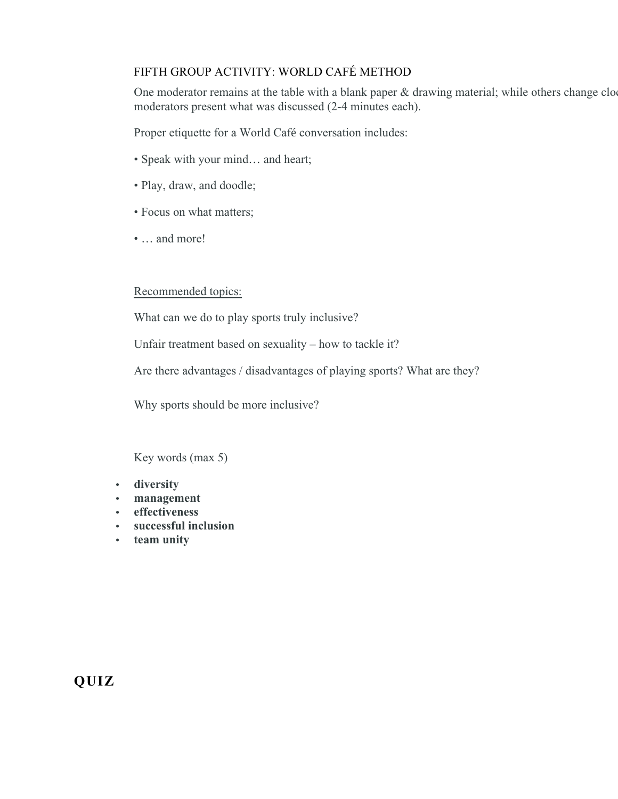# FIFTH GROUP ACTIVITY: WORLD CAFÉ METHOD

One moderator remains at the table with a blank paper & drawing material; while others change clo moderators present what was discussed (2-4 minutes each).

Proper etiquette for a World Café conversation includes:

- Speak with your mind… and heart;
- Play, draw, and doodle;
- Focus on what matters;
- … and more!

### Recommended topics:

What can we do to play sports truly inclusive?

Unfair treatment based on sexuality – how to tackle it?

Are there advantages / disadvantages of playing sports? What are they?

Why sports should be more inclusive?

Key words (max 5)

- **diversity**
- **management**
- **effectiveness**
- **successful inclusion**
- **team unity**

**QUIZ**